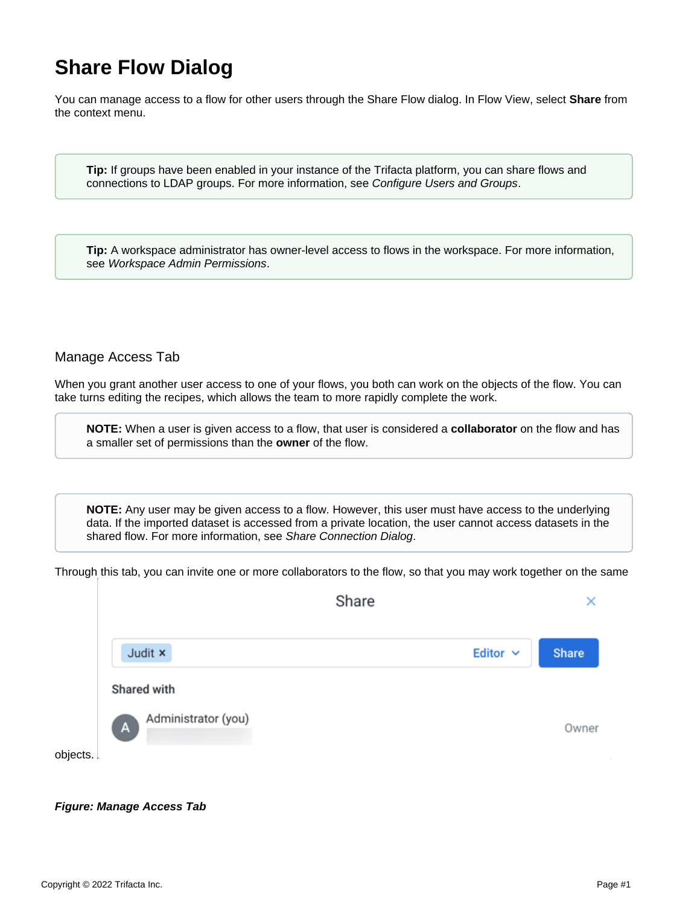## **Share Flow Dialog**

You can manage access to a flow for other users through the Share Flow dialog. In Flow View, select **Share** from the context menu.

**Tip:** If groups have been enabled in your instance of the Trifacta platform, you can share flows and connections to LDAP groups. For more information, see [Configure Users and Groups](https://docs.trifacta.com/display/r082/Configure+Users+and+Groups).

**Tip:** A workspace administrator has owner-level access to flows in the workspace. For more information, see [Workspace Admin Permissions](https://docs.trifacta.com/display/r082/Workspace+Admin+Permissions).

## Manage Access Tab

When you grant another user access to one of your flows, you both can work on the objects of the flow. You can take turns editing the recipes, which allows the team to more rapidly complete the work.

**NOTE:** When a user is given access to a flow, that user is considered a **collaborator** on the flow and has a smaller set of permissions than the **owner** of the flow.

**NOTE:** Any user may be given access to a flow. However, this user must have access to the underlying data. If the imported dataset is accessed from a private location, the user cannot access datasets in the shared flow. For more information, see [Share Connection Dialog](https://docs.trifacta.com/display/r082/Share+Connection+Dialog).

Through this tab, you can invite one or more collaborators to the flow, so that you may work together on the same

|                |                     | Share |               | ×     |
|----------------|---------------------|-------|---------------|-------|
| Judit x        |                     |       | Editor $\sim$ | Share |
| Shared with    |                     |       |               |       |
| $\overline{A}$ | Administrator (you) |       |               | Owner |
| objects.       |                     |       |               |       |

## **Figure: Manage Access Tab**